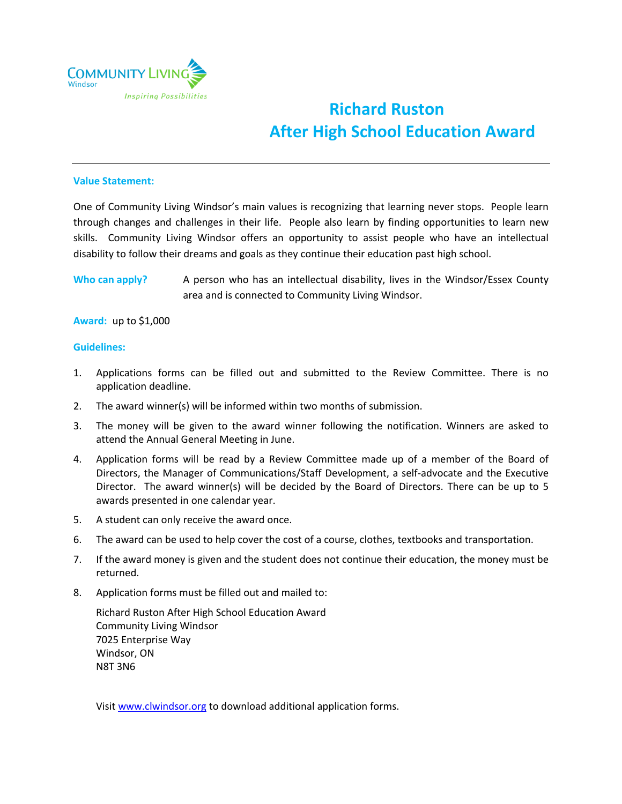

## **Richard Ruston After High School Education Award**

## **Value Statement:**

One of Community Living Windsor's main values is recognizing that learning never stops. People learn through changes and challenges in their life. People also learn by finding opportunities to learn new skills. Community Living Windsor offers an opportunity to assist people who have an intellectual disability to follow their dreams and goals as they continue their education past high school.

**Who can apply?** A person who has an intellectual disability, lives in the Windsor/Essex County area and is connected to Community Living Windsor.

**Award:** up to \$1,000

## **Guidelines:**

- 1. Applications forms can be filled out and submitted to the Review Committee. There is no application deadline.
- 2. The award winner(s) will be informed within two months of submission.
- 3. The money will be given to the award winner following the notification. Winners are asked to attend the Annual General Meeting in June.
- 4. Application forms will be read by a Review Committee made up of a member of the Board of Directors, the Manager of Communications/Staff Development, a self-advocate and the Executive Director. The award winner(s) will be decided by the Board of Directors. There can be up to 5 awards presented in one calendar year.
- 5. A student can only receive the award once.
- 6. The award can be used to help cover the cost of a course, clothes, textbooks and transportation.
- 7. If the award money is given and the student does not continue their education, the money must be returned.
- 8. Application forms must be filled out and mailed to:

Richard Ruston After High School Education Award Community Living Windsor 7025 Enterprise Way Windsor, ON N8T 3N6

Visit www.clwindsor.org to download additional application forms.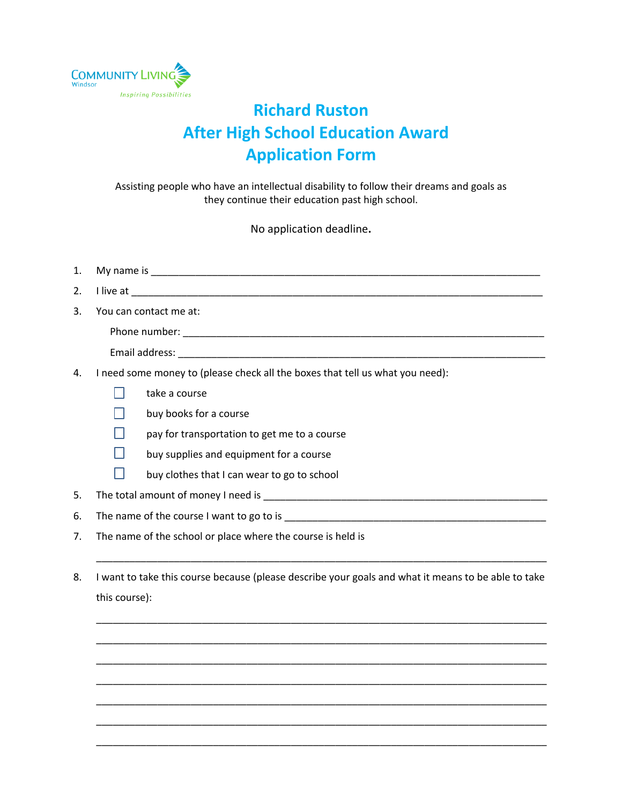

## **Richard Ruston After High School Education Award Application Form**

Assisting people who have an intellectual disability to follow their dreams and goals as they continue their education past high school.

No application deadline**.**

| 1. |                                                                                                                |  |  |
|----|----------------------------------------------------------------------------------------------------------------|--|--|
| 2. |                                                                                                                |  |  |
| 3. | You can contact me at:                                                                                         |  |  |
|    |                                                                                                                |  |  |
|    |                                                                                                                |  |  |
| 4. | I need some money to (please check all the boxes that tell us what you need):                                  |  |  |
|    | take a course                                                                                                  |  |  |
|    | buy books for a course                                                                                         |  |  |
|    | pay for transportation to get me to a course                                                                   |  |  |
|    | buy supplies and equipment for a course                                                                        |  |  |
|    | buy clothes that I can wear to go to school                                                                    |  |  |
| 5. | The total amount of money I need is example to the control of the control of the control of the control of the |  |  |
| 6. |                                                                                                                |  |  |

- 7. The name of the school or place where the course is held is
- 8. I want to take this course because (please describe your goals and what it means to be able to take this course):

\_\_\_\_\_\_\_\_\_\_\_\_\_\_\_\_\_\_\_\_\_\_\_\_\_\_\_\_\_\_\_\_\_\_\_\_\_\_\_\_\_\_\_\_\_\_\_\_\_\_\_\_\_\_\_\_\_\_\_\_\_\_\_\_\_\_\_\_\_\_\_\_\_\_\_\_\_\_\_\_\_

\_\_\_\_\_\_\_\_\_\_\_\_\_\_\_\_\_\_\_\_\_\_\_\_\_\_\_\_\_\_\_\_\_\_\_\_\_\_\_\_\_\_\_\_\_\_\_\_\_\_\_\_\_\_\_\_\_\_\_\_\_\_\_\_\_\_\_\_\_\_\_\_\_\_\_\_\_\_\_\_\_

\_\_\_\_\_\_\_\_\_\_\_\_\_\_\_\_\_\_\_\_\_\_\_\_\_\_\_\_\_\_\_\_\_\_\_\_\_\_\_\_\_\_\_\_\_\_\_\_\_\_\_\_\_\_\_\_\_\_\_\_\_\_\_\_\_\_\_\_\_\_\_\_\_\_\_\_\_\_\_\_\_

\_\_\_\_\_\_\_\_\_\_\_\_\_\_\_\_\_\_\_\_\_\_\_\_\_\_\_\_\_\_\_\_\_\_\_\_\_\_\_\_\_\_\_\_\_\_\_\_\_\_\_\_\_\_\_\_\_\_\_\_\_\_\_\_\_\_\_\_\_\_\_\_\_\_\_\_\_\_\_\_\_ \_\_\_\_\_\_\_\_\_\_\_\_\_\_\_\_\_\_\_\_\_\_\_\_\_\_\_\_\_\_\_\_\_\_\_\_\_\_\_\_\_\_\_\_\_\_\_\_\_\_\_\_\_\_\_\_\_\_\_\_\_\_\_\_\_\_\_\_\_\_\_\_\_\_\_\_\_\_\_\_\_

\_\_\_\_\_\_\_\_\_\_\_\_\_\_\_\_\_\_\_\_\_\_\_\_\_\_\_\_\_\_\_\_\_\_\_\_\_\_\_\_\_\_\_\_\_\_\_\_\_\_\_\_\_\_\_\_\_\_\_\_\_\_\_\_\_\_\_\_\_\_\_\_\_\_\_\_\_\_\_\_\_

\_\_\_\_\_\_\_\_\_\_\_\_\_\_\_\_\_\_\_\_\_\_\_\_\_\_\_\_\_\_\_\_\_\_\_\_\_\_\_\_\_\_\_\_\_\_\_\_\_\_\_\_\_\_\_\_\_\_\_\_\_\_\_\_\_\_\_\_\_\_\_\_\_\_\_\_\_\_\_\_\_

\_\_\_\_\_\_\_\_\_\_\_\_\_\_\_\_\_\_\_\_\_\_\_\_\_\_\_\_\_\_\_\_\_\_\_\_\_\_\_\_\_\_\_\_\_\_\_\_\_\_\_\_\_\_\_\_\_\_\_\_\_\_\_\_\_\_\_\_\_\_\_\_\_\_\_\_\_\_\_\_\_